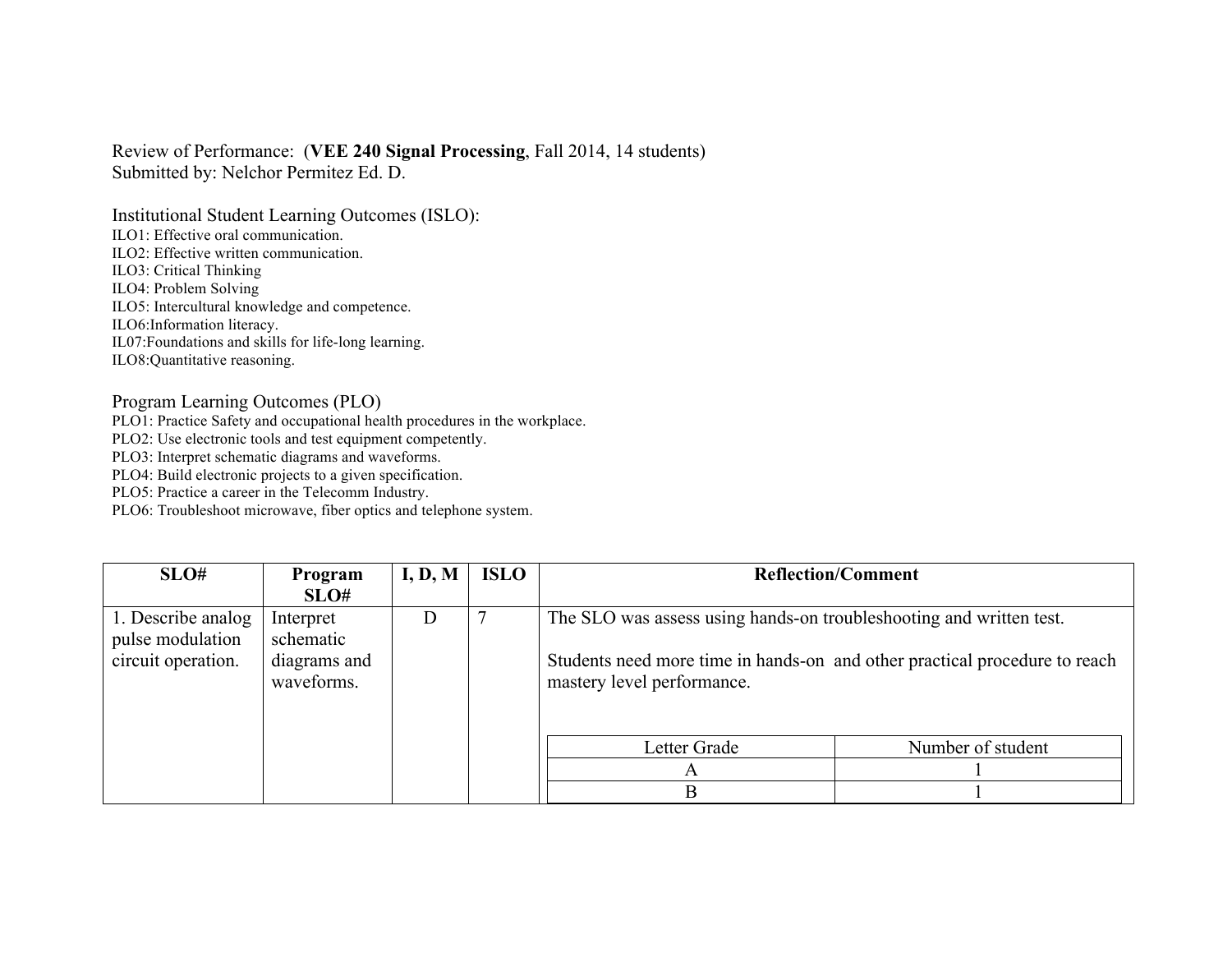## Review of Performance: (**VEE 240 Signal Processing**, Fall 2014, 14 students) Submitted by: Nelchor Permitez Ed. D.

Institutional Student Learning Outcomes (ISLO):

ILO1: Effective oral communication.

ILO2: Effective written communication.

ILO3: Critical Thinking

ILO4: Problem Solving

ILO5: Intercultural knowledge and competence.

ILO6:Information literacy.

IL07:Foundations and skills for life-long learning.

ILO8:Quantitative reasoning.

## Program Learning Outcomes (PLO)

PLO1: Practice Safety and occupational health procedures in the workplace.

PLO2: Use electronic tools and test equipment competently.

PLO3: Interpret schematic diagrams and waveforms.

PLO4: Build electronic projects to a given specification.

PLO5: Practice a career in the Telecomm Industry.

PLO6: Troubleshoot microwave, fiber optics and telephone system.

| SLO#                                                         | Program<br>SLO#                                      | I, D, M | <b>ISLO</b> | <b>Reflection/Comment</b>                                                                                                                                                       |                   |
|--------------------------------------------------------------|------------------------------------------------------|---------|-------------|---------------------------------------------------------------------------------------------------------------------------------------------------------------------------------|-------------------|
| 1. Describe analog<br>pulse modulation<br>circuit operation. | Interpret<br>schematic<br>diagrams and<br>waveforms. | D       |             | The SLO was assess using hands-on troubleshooting and written test.<br>Students need more time in hands-on and other practical procedure to reach<br>mastery level performance. |                   |
|                                                              |                                                      |         |             | Letter Grade<br>A                                                                                                                                                               | Number of student |
|                                                              |                                                      |         |             | B                                                                                                                                                                               |                   |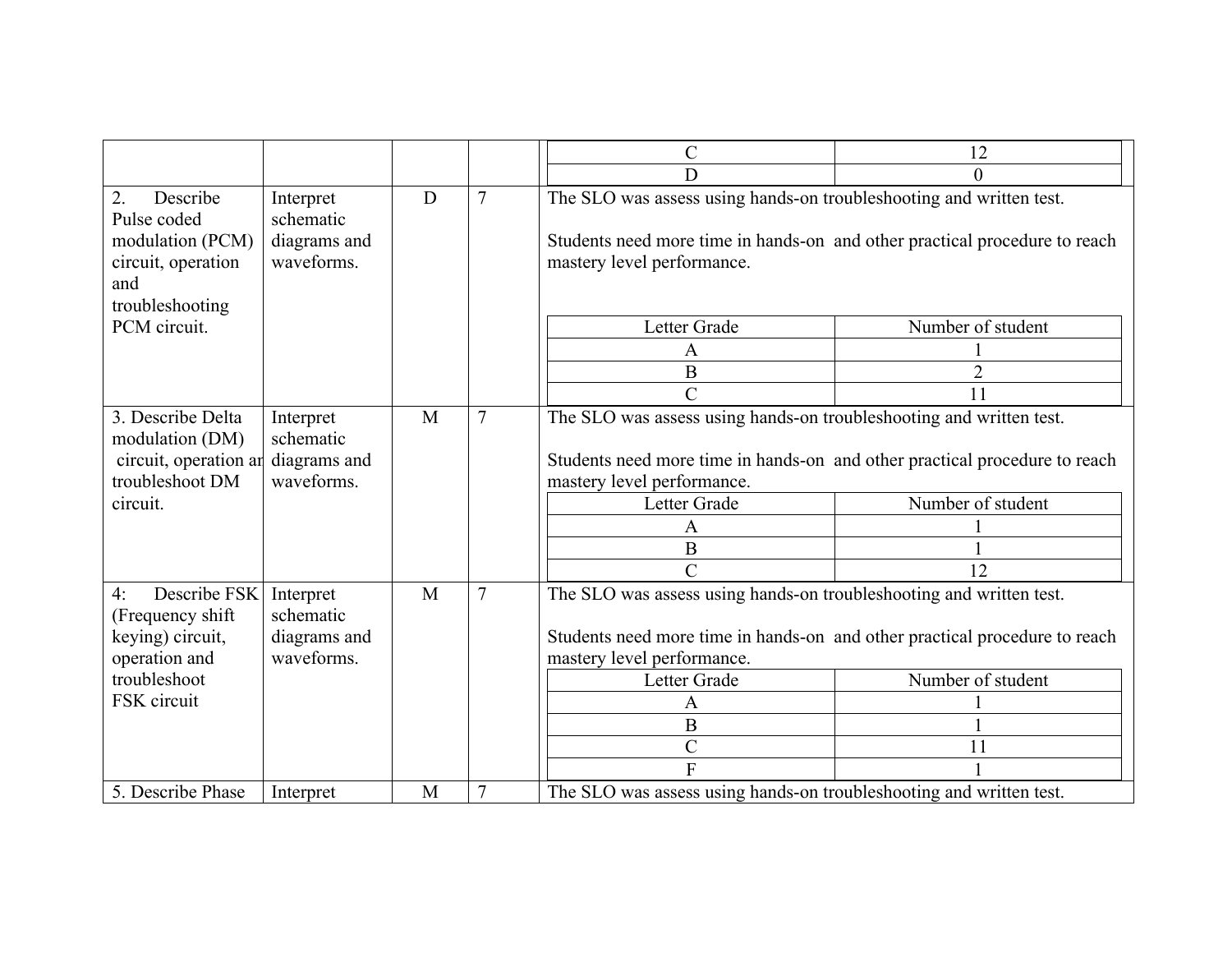|                                                                                                            |                                                      |   |                | $\mathcal{C}$                                                                                                                                                                                                                                            | 12                      |
|------------------------------------------------------------------------------------------------------------|------------------------------------------------------|---|----------------|----------------------------------------------------------------------------------------------------------------------------------------------------------------------------------------------------------------------------------------------------------|-------------------------|
|                                                                                                            |                                                      |   |                | D                                                                                                                                                                                                                                                        | 0                       |
| 2.<br>Describe<br>Pulse coded<br>modulation (PCM)<br>circuit, operation<br>and<br>troubleshooting          | Interpret<br>schematic<br>diagrams and<br>waveforms. | D | $\overline{7}$ | The SLO was assess using hands-on troubleshooting and written test.<br>Students need more time in hands-on and other practical procedure to reach<br>mastery level performance.                                                                          |                         |
| PCM circuit.                                                                                               |                                                      |   |                | Letter Grade                                                                                                                                                                                                                                             | Number of student       |
|                                                                                                            |                                                      |   |                | A                                                                                                                                                                                                                                                        |                         |
|                                                                                                            |                                                      |   |                | $\bf{B}$                                                                                                                                                                                                                                                 |                         |
|                                                                                                            |                                                      |   |                | $\overline{C}$                                                                                                                                                                                                                                           | 11                      |
| 3. Describe Delta<br>modulation (DM)<br>circuit, operation an<br>troubleshoot DM<br>circuit.               | Interpret<br>schematic<br>diagrams and<br>waveforms. | M | 7              | The SLO was assess using hands-on troubleshooting and written test.<br>Students need more time in hands-on and other practical procedure to reach<br>mastery level performance.<br>Letter Grade<br>A<br>$\mathbf B$<br>$\overline{C}$                    | Number of student<br>12 |
| Describe FSK<br>4:<br>(Frequency shift<br>keying) circuit,<br>operation and<br>troubleshoot<br>FSK circuit | Interpret<br>schematic<br>diagrams and<br>waveforms. | M | 7              | The SLO was assess using hands-on troubleshooting and written test.<br>Students need more time in hands-on and other practical procedure to reach<br>mastery level performance.<br>Letter Grade<br>A<br>$\, {\bf B}$<br>$\overline{C}$<br>$\overline{F}$ | Number of student<br>11 |
| 5. Describe Phase                                                                                          | Interpret                                            | M | $\overline{7}$ | The SLO was assess using hands-on troubleshooting and written test.                                                                                                                                                                                      |                         |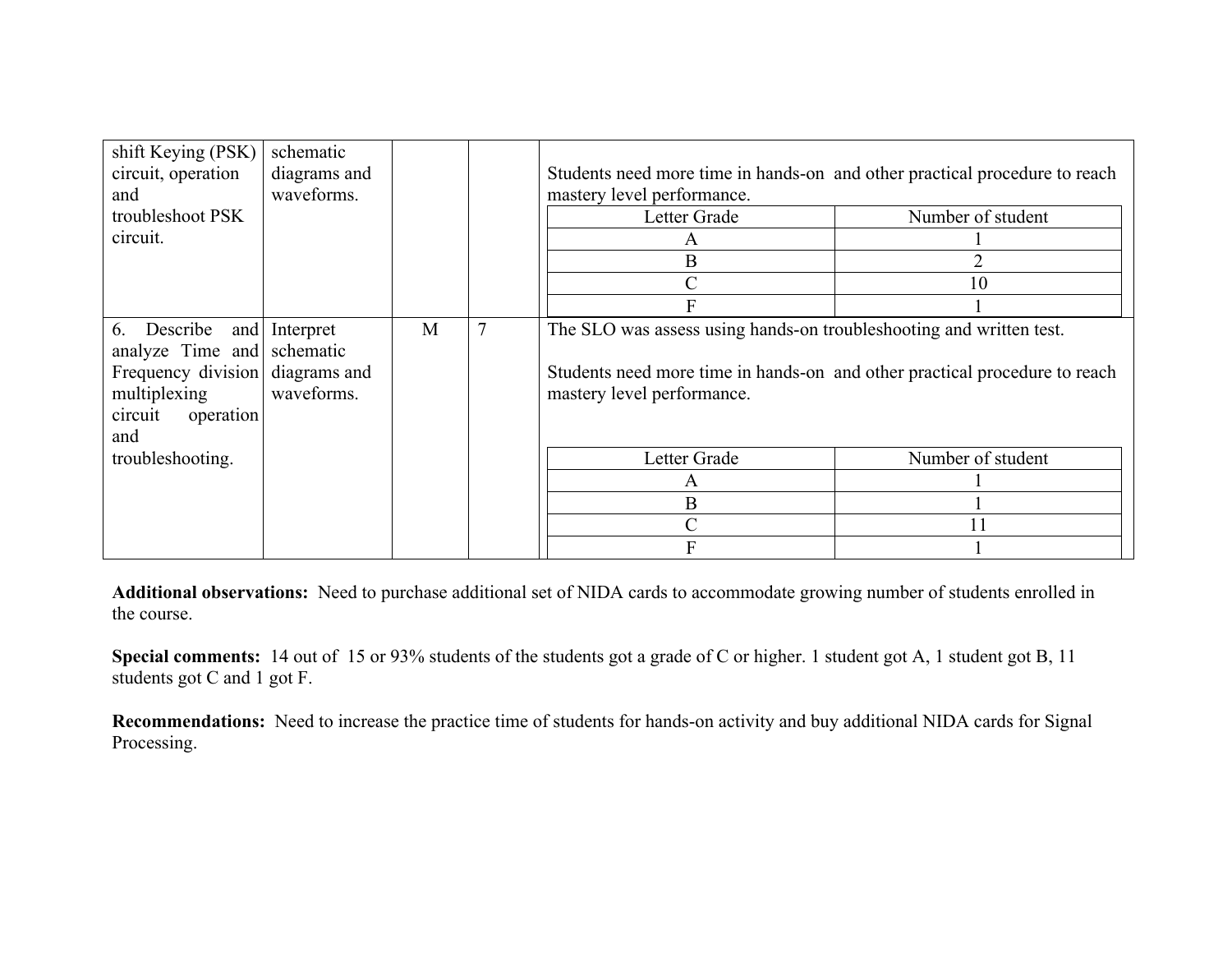| shift Keying (PSK)<br>circuit, operation<br>and                                                                                       | schematic<br>diagrams and<br>waveforms. |   |                | Students need more time in hands-on and other practical procedure to reach<br>mastery level performance.                                                                        |                   |
|---------------------------------------------------------------------------------------------------------------------------------------|-----------------------------------------|---|----------------|---------------------------------------------------------------------------------------------------------------------------------------------------------------------------------|-------------------|
| troubleshoot PSK                                                                                                                      |                                         |   |                | Letter Grade                                                                                                                                                                    | Number of student |
| circuit.                                                                                                                              |                                         |   |                | A                                                                                                                                                                               |                   |
|                                                                                                                                       |                                         |   |                | B                                                                                                                                                                               |                   |
|                                                                                                                                       |                                         |   |                | C                                                                                                                                                                               | 10                |
|                                                                                                                                       |                                         |   |                |                                                                                                                                                                                 |                   |
| Describe<br>6.<br>and<br>analyze Time and schematic<br>Frequency division diagrams and<br>multiplexing<br>circuit<br>operation<br>and | Interpret<br>waveforms.                 | M | $\overline{7}$ | The SLO was assess using hands-on troubleshooting and written test.<br>Students need more time in hands-on and other practical procedure to reach<br>mastery level performance. |                   |
| troubleshooting.                                                                                                                      |                                         |   |                | Letter Grade                                                                                                                                                                    | Number of student |
|                                                                                                                                       |                                         |   |                | A                                                                                                                                                                               |                   |
|                                                                                                                                       |                                         |   |                | B                                                                                                                                                                               |                   |
|                                                                                                                                       |                                         |   |                | C                                                                                                                                                                               | 11                |
|                                                                                                                                       |                                         |   |                | F                                                                                                                                                                               |                   |

**Additional observations:** Need to purchase additional set of NIDA cards to accommodate growing number of students enrolled in the course.

**Special comments:** 14 out of 15 or 93% students of the students got a grade of C or higher. 1 student got A, 1 student got B, 11 students got C and 1 got F.

**Recommendations:** Need to increase the practice time of students for hands-on activity and buy additional NIDA cards for Signal Processing.